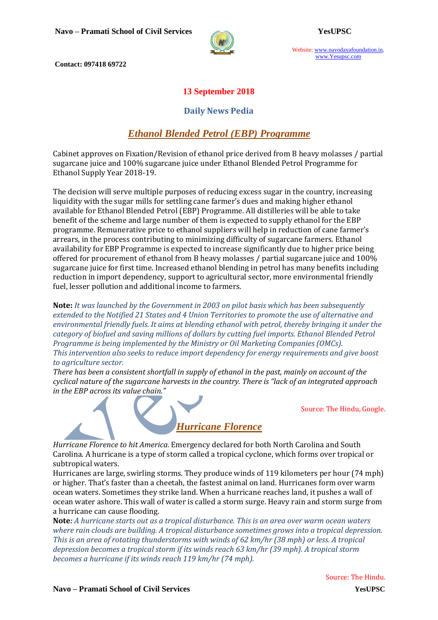

Website: www.navodayafoundation.in, www.Yesupsc.com

**Contact: 097418 69722**

### **13 September 2018**

### **Daily News Pedia**

# *Ethanol Blended Petrol (EBP) Programme*

Cabinet approves on Fixation/Revision of ethanol price derived from B heavy molasses / partial sugarcane juice and 100% sugarcane juice under Ethanol Blended Petrol Programme for Ethanol Supply Year 2018-19.

The decision will serve multiple purposes of reducing excess sugar in the country, increasing liquidity with the sugar mills for settling cane farmer's dues and making higher ethanol available for Ethanol Blended Petrol (EBP) Programme. All distilleries will be able to take benefit of the scheme and large number of them is expected to supply ethanol for the EBP programme. Remunerative price to ethanol suppliers will help in reduction of cane farmer's arrears, in the process contributing to minimizing difficulty of sugarcane farmers. Ethanol availability for EBP Programme is expected to increase significantly due to higher price being offered for procurement of ethanol from B heavy molasses / partial sugarcane juice and 100% sugarcane juice for first time. Increased ethanol blending in petrol has many benefits including reduction in import dependency, support to agricultural sector, more environmental friendly fuel, lesser pollution and additional income to farmers.

**Note:** *It was launched by the Government in 2003 on pilot basis which has been subsequently extended to the Notified 21 States and 4 Union Territories to promote the use of alternative and environmental friendly fuels. It aims at blending ethanol with petrol, thereby bringing it under the category of biofuel and saving millions of dollars by cutting fuel imports. Ethanol Blended Petrol Programme is being implemented by the Ministry or Oil Marketing Companies (OMCs). This intervention also seeks to reduce import dependency for energy requirements and give boost to agriculture sector.*

*There has been a consistent shortfall in supply of ethanol in the past, mainly on account of the cyclical nature of the sugarcane harvests in the country. There is "lack of an integrated approach in the EBP across its value chain."*

Source: The Hindu, Google.

*Hurricane Florence to hit America.* Emergency declared for both North Carolina and South Carolina. A hurricane is a type of storm called a tropical cyclone, which forms over tropical or subtropical waters.

*Hurricane Florence*

Hurricanes are large, swirling storms. They produce winds of 119 kilometers per hour (74 mph) or higher. That's faster than a cheetah, the fastest animal on land. Hurricanes form over warm ocean waters. Sometimes they strike land. When a hurricane reaches land, it pushes a wall of ocean water ashore. This wall of water is called a storm surge. Heavy rain and storm surge from a hurricane can cause flooding.

**Note***: A hurricane starts out as a tropical disturbance. This is an area over warm ocean waters where rain clouds are building. A tropical disturbance sometimes grows into a tropical depression. This is an area of rotating thunderstorms with winds of 62 km/hr (38 mph) or less. A tropical depression becomes a tropical storm if its winds reach 63 km/hr (39 mph). A tropical storm becomes a hurricane if its winds reach 119 km/hr (74 mph).*

Source: The Hindu.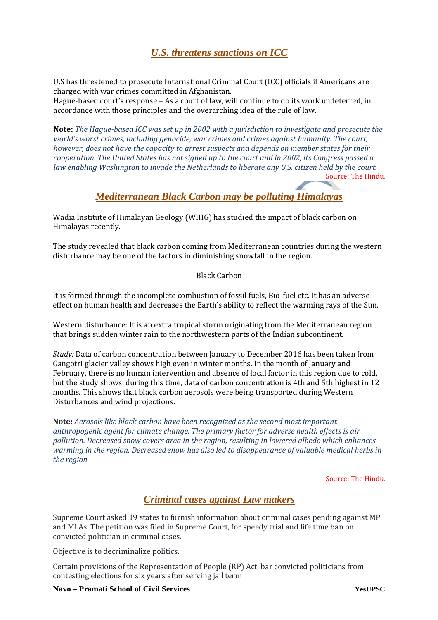# *U.S. threatens sanctions on ICC*

U.S has threatened to prosecute International Criminal Court (ICC) officials if Americans are charged with war crimes committed in Afghanistan.

Hague-based court's response – As a court of law, will continue to do its work undeterred, in accordance with those principles and the overarching idea of the rule of law.

**Note:** *The Hague-based ICC was set up in 2002 with a jurisdiction to investigate and prosecute the world's worst crimes, including genocide, war crimes and crimes against humanity. The court, however, does not have the capacity to arrest suspects and depends on member states for their cooperation. The United States has not signed up to the court and in 2002, its Congress passed a law enabling Washington to invade the Netherlands to liberate any U.S. citizen held by the court.* Source: The Hindu.

# *Mediterranean Black Carbon may be polluting Himalayas*

Wadia Institute of Himalayan Geology (WIHG) has studied the impact of black carbon on Himalayas recently.

The study revealed that black carbon coming from Mediterranean countries during the western disturbance may be one of the factors in diminishing snowfall in the region.

#### Black Carbon

It is formed through the incomplete combustion of fossil fuels, Bio-fuel etc. It has an adverse effect on human health and decreases the Earth's ability to reflect the warming rays of the Sun.

Western disturbance: It is an extra tropical storm originating from the Mediterranean region that brings sudden winter rain to the northwestern parts of the Indian subcontinent.

*Study:* Data of carbon concentration between January to December 2016 has been taken from Gangotri glacier valley shows high even in winter months. In the month of January and February, there is no human intervention and absence of local factor in this region due to cold, but the study shows, during this time, data of carbon concentration is 4th and 5th highest in 12 months. This shows that black carbon aerosols were being transported during Western Disturbances and wind projections.

**Note:** *Aerosols like black carbon have been recognized as the second most important anthropogenic agent for climate change. The primary factor for adverse health effects is air pollution. Decreased snow covers area in the region, resulting in lowered albedo which enhances warming in the region. Decreased snow has also led to disappearance of valuable medical herbs in the region.*

Source: The Hindu.

## *[Criminal cases against Law makers](https://indianexpress.com/article/india/pending-cases-supreme-court-asks-19-states-to-list-criminal-cases-against-lawmakers-5353442/)*

Supreme Court asked 19 states to furnish information about criminal cases pending against MP and MLAs. The petition was filed in Supreme Court, for speedy trial and life time ban on convicted politician in criminal cases.

Objective is to decriminalize politics.

Certain provisions of the Representation of People (RP) Act, bar convicted politicians from contesting elections for six years after serving jail term

#### **Navo – Pramati School of Civil Services YesUPSC**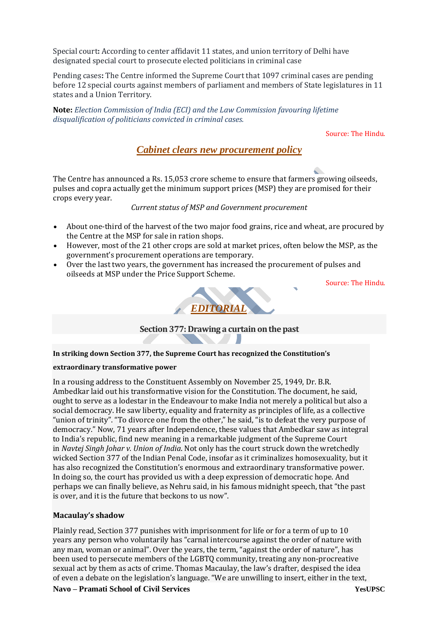Special court**:** According to center affidavit 11 states, and union territory of Delhi have designated special court to prosecute elected politicians in criminal case

Pending cases**:** The Centre informed the Supreme Court that 1097 criminal cases are pending before 12 special courts against members of parliament and members of State legislatures in 11 states and a Union Territory.

**Note:** *Election Commission of India (ECI) and the Law Commission favouring lifetime disqualification of politicians convicted in criminal cases.*

Source: The Hindu.

### *Cabinet clears new procurement policy*

The Centre has announced a Rs. 15,053 crore scheme to ensure that farmers growing oilseeds, pulses and copra actually get the minimum support prices (MSP) they are promised for their crops every year.

*Current status of MSP and Government procurement*

- About one-third of the harvest of the two major food grains, rice and wheat, are procured by the Centre at the MSP for sale in ration shops.
- However, most of the 21 other crops are sold at market prices, often below the MSP, as the government's procurement operations are temporary.
- Over the last two years, the government has increased the procurement of pulses and oilseeds at MSP under the Price Support Scheme.

Source: The Hindu.



**Section 377: Drawing a curtain on the past**

**In striking down Section 377, the Supreme Court has recognized the Constitution's** 

#### **extraordinary transformative power**

In a rousing address to the Constituent Assembly on November 25, 1949, Dr. B.R. Ambedkar laid out his transformative vision for the Constitution. The document, he said, ought to serve as a lodestar in the Endeavour to make India not merely a political but also a social democracy. He saw liberty, equality and fraternity as principles of life, as a collective "union of trinity". "To divorce one from the other," he said, "is to defeat the very purpose of democracy." Now, 71 years after Independence, these values that Ambedkar saw as integral to India's republic, find new meaning in a remarkable judgment of the Supreme Court in *Navtej Singh Johar v. Union of India*. Not only has the court struck down the wretchedly wicked Section 377 of the Indian Penal Code, insofar as it criminalizes homosexuality, but it has also recognized the Constitution's enormous and extraordinary transformative power. In doing so, the court has provided us with a deep expression of democratic hope. And perhaps we can finally believe, as Nehru said, in his famous midnight speech, that "the past is over, and it is the future that beckons to us now".

#### **Macaulay's shadow**

Plainly read, Section 377 punishes with imprisonment for life or for a term of up to 10 years any person who voluntarily has "carnal intercourse against the order of nature with any man, woman or animal". Over the years, the term, "against the order of nature", has been used to persecute members of the LGBTQ community, treating any non-procreative sexual act by them as acts of crime. Thomas Macaulay, the law's drafter, despised the idea of even a debate on the legislation's language. "We are unwilling to insert, either in the text,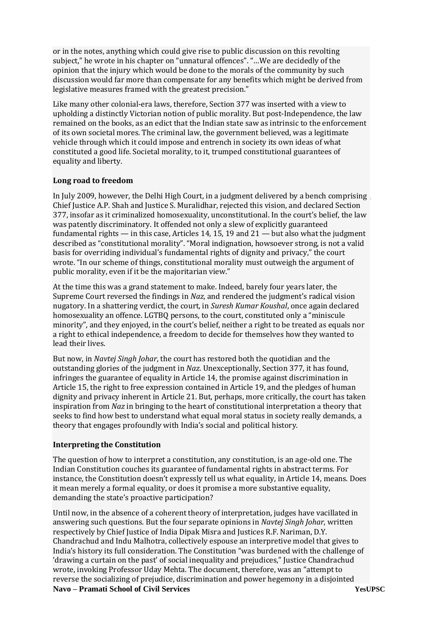or in the notes, anything which could give rise to public discussion on this revolting subject," he wrote in his chapter on "unnatural offences". "…We are decidedly of the opinion that the injury which would be done to the morals of the community by such discussion would far more than compensate for any benefits which might be derived from legislative measures framed with the greatest precision."

Like many other colonial-era laws, therefore, Section 377 was inserted with a view to upholding a distinctly Victorian notion of public morality. But post-Independence, the law remained on the books, as an edict that the Indian state saw as intrinsic to the enforcement of its own societal mores. The criminal law, the government believed, was a legitimate vehicle through which it could impose and entrench in society its own ideas of what constituted a good life. Societal morality, to it, trumped constitutional guarantees of equality and liberty.

#### **Long road to freedom**

In July 2009, however, the Delhi High Court, in a judgment delivered by a bench comprising Chief Justice A.P. Shah and Justice S. Muralidhar, rejected this vision, and declared Section 377, insofar as it criminalized homosexuality, unconstitutional. In the court's belief, the law was patently discriminatory. It offended not only a slew of explicitly guaranteed fundamental rights — in this case, Articles 14, 15, 19 and  $21$  — but also what the judgment described as "constitutional morality". "Moral indignation, howsoever strong, is not a valid basis for overriding individual's fundamental rights of dignity and privacy," the court wrote. "In our scheme of things, constitutional morality must outweigh the argument of public morality, even if it be the majoritarian view."

At the time this was a grand statement to make. Indeed, barely four years later, the Supreme Court reversed the findings in *Naz*, and rendered the judgment's radical vision nugatory. In a shattering verdict, the court, in *Suresh Kumar Koushal*, once again declared homosexuality an offence. LGTBQ persons, to the court, constituted only a "miniscule minority", and they enjoyed, in the court's belief, neither a right to be treated as equals nor a right to ethical independence, a freedom to decide for themselves how they wanted to lead their lives.

But now, in *Navtej Singh Johar*, the court has restored both the quotidian and the outstanding glories of the judgment in *Naz*. Unexceptionally, Section 377, it has found, infringes the guarantee of equality in Article 14, the promise against discrimination in Article 15, the right to free expression contained in Article 19, and the pledges of human dignity and privacy inherent in Article 21. But, perhaps, more critically, the court has taken inspiration from *Naz* in bringing to the heart of constitutional interpretation a theory that seeks to find how best to understand what equal moral status in society really demands, a theory that engages profoundly with India's social and political history.

#### **Interpreting the Constitution**

The question of how to interpret a constitution, any constitution, is an age-old one. The Indian Constitution couches its guarantee of fundamental rights in abstract terms. For instance, the Constitution doesn't expressly tell us what equality, in Article 14, means. Does it mean merely a formal equality, or does it promise a more substantive equality, demanding the state's proactive participation?

**Navo – Pramati School of Civil Services YesUPSC** Until now, in the absence of a coherent theory of interpretation, judges have vacillated in answering such questions. But the four separate opinions in *Navtej Singh Johar*, written respectively by Chief Justice of India Dipak Misra and Justices R.F. Nariman, D.Y. Chandrachud and Indu Malhotra, collectively espouse an interpretive model that gives to India's history its full consideration. The Constitution "was burdened with the challenge of 'drawing a curtain on the past' of social inequality and prejudices," Justice Chandrachud wrote, invoking Professor Uday Mehta. The document, therefore, was an "attempt to reverse the socializing of prejudice, discrimination and power hegemony in a disjointed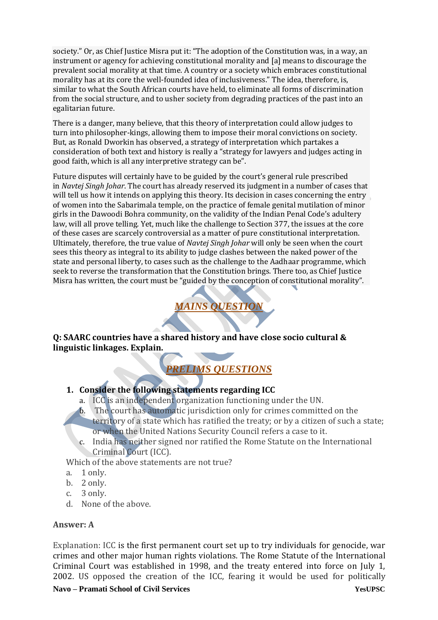society." Or, as Chief Justice Misra put it: "The adoption of the Constitution was, in a way, an instrument or agency for achieving constitutional morality and [a] means to discourage the prevalent social morality at that time. A country or a society which embraces constitutional morality has at its core the well-founded idea of inclusiveness." The idea, therefore, is, similar to what the South African courts have held, to eliminate all forms of discrimination from the social structure, and to usher society from degrading practices of the past into an egalitarian future.

There is a danger, many believe, that this theory of interpretation could allow judges to turn into philosopher-kings, allowing them to impose their moral convictions on society. But, as Ronald Dworkin has observed, a strategy of interpretation which partakes a consideration of both text and history is really a "strategy for lawyers and judges acting in good faith, which is all any interpretive strategy can be".

Future disputes will certainly have to be guided by the court's general rule prescribed in *Navtej Singh Johar*. The court has already reserved its judgment in a number of cases that will tell us how it intends on applying this theory. Its decision in cases concerning the entry of women into the Sabarimala temple, on the practice of female genital mutilation of minor girls in the Dawoodi Bohra community, on the validity of the Indian Penal Code's adultery law, will all prove telling. Yet, much like the challenge to Section 377, the issues at the core of these cases are scarcely controversial as a matter of pure constitutional interpretation. Ultimately, therefore, the true value of *Navtej Singh Johar* will only be seen when the court sees this theory as integral to its ability to judge clashes between the naked power of the state and personal liberty, to cases such as the challenge to the Aadhaar programme, which seek to reverse the transformation that the Constitution brings. There too, as Chief Justice Misra has written, the court must be "guided by the conception of constitutional morality".



**Q: SAARC countries have a shared history and have close socio cultural & linguistic linkages. Explain.**

# *PRELIMS QUESTIONS*

## **1. Consider the following statements regarding ICC**

- a. ICC is an independent organization functioning under the UN.
- b. The court has automatic jurisdiction only for crimes committed on the territory of a state which has ratified the treaty; or by a citizen of such a state; or when the United Nations Security Council refers a case to it.
- c. India has neither signed nor ratified the Rome Statute on the International Criminal Court (ICC).

Which of the above statements are not true?

- a. 1 only.
- b. 2 only.
- c. 3 only.
- d. None of the above.

### **Answer: A**

Explanation: ICC is the first permanent court set up to try individuals for genocide, war crimes and other major human rights violations. The Rome Statute of the International Criminal Court was established in 1998, and the treaty entered into force on July 1, 2002. US opposed the creation of the ICC, fearing it would be used for politically